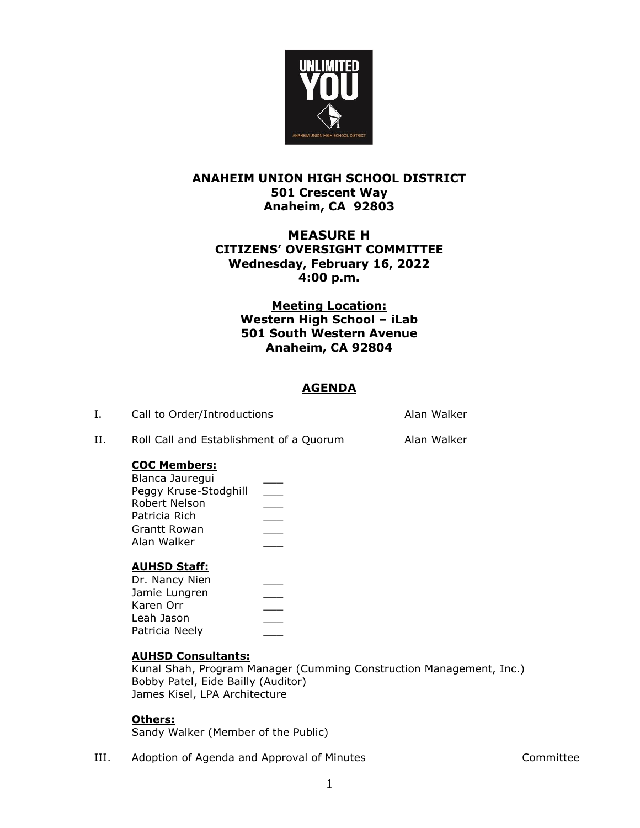

# **ANAHEIM UNION HIGH SCHOOL DISTRICT 501 Crescent Way Anaheim, CA 92803**

# **MEASURE H CITIZENS' OVERSIGHT COMMITTEE Wednesday, February 16, 2022 4:00 p.m.**

# **Meeting Location: Western High School – iLab 501 South Western Avenue Anaheim, CA 92804**

# **AGENDA**

I. Call to Order/Introductions and all the Call to Order/Introductions and Alan Walker

II. Roll Call and Establishment of a Quorum Alan Walker

# **COC Members:**

| Blanca Jauregui       |  |
|-----------------------|--|
| Peggy Kruse-Stodghill |  |
| Robert Nelson         |  |
| Patricia Rich         |  |
| Grantt Rowan          |  |
| Alan Walker           |  |
|                       |  |

### **AUHSD Staff:**

| Dr. Nancy Nien |  |
|----------------|--|
| Jamie Lungren  |  |
| Karen Orr      |  |
| Leah Jason     |  |
| Patricia Neely |  |
|                |  |

### **AUHSD Consultants:**

Kunal Shah, Program Manager (Cumming Construction Management, Inc.) Bobby Patel, Eide Bailly (Auditor) James Kisel, LPA Architecture

### **Others:**

Sandy Walker (Member of the Public)

III. Adoption of Agenda and Approval of Minutes **Accord Accommittee**